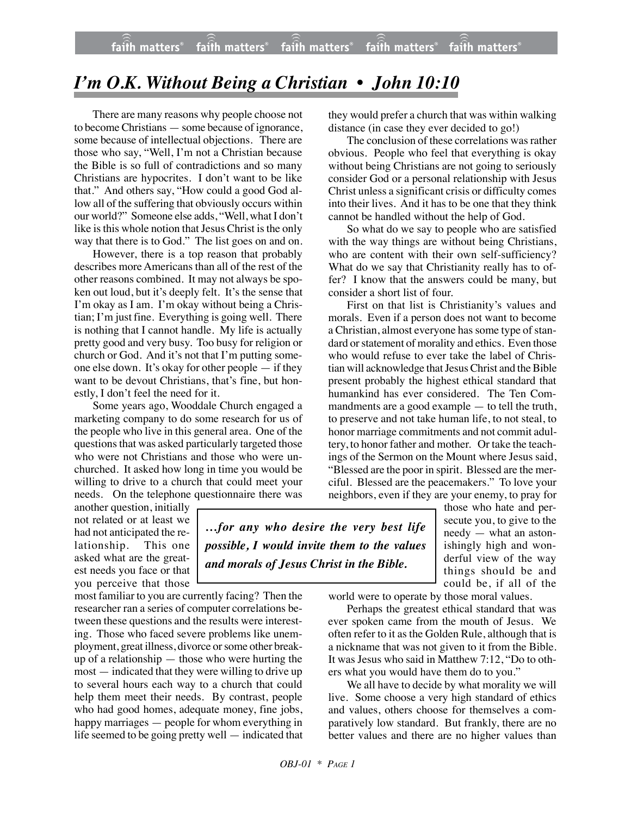## *I'm O.K. Without Being a Christian • John 10:10*

There are many reasons why people choose not to become Christians — some because of ignorance, some because of intellectual objections. There are those who say, "Well, I'm not a Christian because the Bible is so full of contradictions and so many Christians are hypocrites. I don't want to be like that." And others say, "How could a good God allow all of the suffering that obviously occurs within our world?" Someone else adds, "Well, what I don't like is this whole notion that Jesus Christ is the only way that there is to God." The list goes on and on.

However, there is a top reason that probably describes more Americans than all of the rest of the other reasons combined. It may not always be spoken out loud, but it's deeply felt. It's the sense that I'm okay as I am. I'm okay without being a Christian; I'm just fine. Everything is going well. There is nothing that I cannot handle. My life is actually pretty good and very busy. Too busy for religion or church or God. And it's not that I'm putting someone else down. It's okay for other people — if they want to be devout Christians, that's fine, but honestly, I don't feel the need for it.

Some years ago, Wooddale Church engaged a marketing company to do some research for us of the people who live in this general area. One of the questions that was asked particularly targeted those who were not Christians and those who were unchurched. It asked how long in time you would be willing to drive to a church that could meet your needs. On the telephone questionnaire there was they would prefer a church that was within walking distance (in case they ever decided to go!)

The conclusion of these correlations was rather obvious. People who feel that everything is okay without being Christians are not going to seriously consider God or a personal relationship with Jesus Christ unless a significant crisis or difficulty comes into their lives. And it has to be one that they think cannot be handled without the help of God.

So what do we say to people who are satisfied with the way things are without being Christians, who are content with their own self-sufficiency? What do we say that Christianity really has to offer? I know that the answers could be many, but consider a short list of four.

First on that list is Christianity's values and morals. Even if a person does not want to become a Christian, almost everyone has some type of standard or statement of morality and ethics. Even those who would refuse to ever take the label of Christian will acknowledge that JesusChrist and the Bible present probably the highest ethical standard that humankind has ever considered. The Ten Commandments are a good example — to tell the truth, to preserve and not take human life, to not steal, to honor marriage commitments and not commit adultery, to honor father and mother. Or take the teachings of the Sermon on the Mount where Jesus said, "Blessed are the poor in spirit. Blessed are the merciful. Blessed are the peacemakers." To love your neighbors, even if they are your enemy, to pray for

another question, initially not related or at least we had not anticipated the relationship. This one asked what are the greatest needs you face or that you perceive that those

most familiar to you are currently facing? Then the researcher ran a series of computer correlations between these questions and the results were interesting. Those who faced severe problems like unemployment, great illness, divorce orsome other breakup of a relationship — those who were hurting the most — indicated that they were willing to drive up to several hours each way to a church that could help them meet their needs. By contrast, people who had good homes, adequate money, fine jobs, happy marriages — people for whom everything in life seemed to be going pretty well — indicated that

*…for any who desire the very best life possible, I would invite them to the values and morals of Jesus Christ in the Bible.*

those who hate and persecute you, to give to the needy — what an astonishingly high and wonderful view of the way things should be and could be, if all of the

world were to operate by those moral values.

Perhaps the greatest ethical standard that was ever spoken came from the mouth of Jesus. We often refer to it as the Golden Rule, although that is a nickname that was not given to it from the Bible. It was Jesus who said in Matthew 7:12, "Do to others what you would have them do to you."

We all have to decide by what morality we will live. Some choose a very high standard of ethics and values, others choose for themselves a comparatively low standard. But frankly, there are no better values and there are no higher values than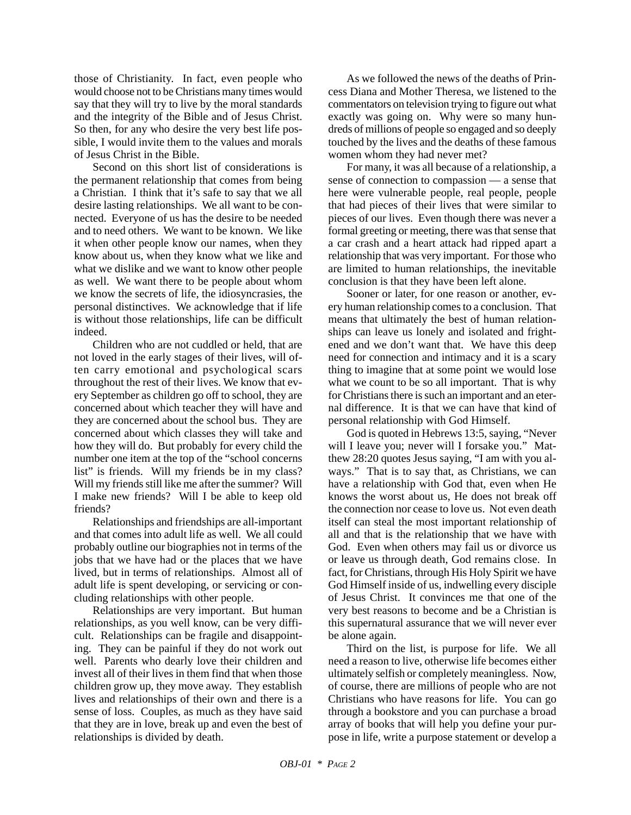those of Christianity. In fact, even people who would choose not to be Christians many times would say that they will try to live by the moral standards and the integrity of the Bible and of Jesus Christ. So then, for any who desire the very best life possible, I would invite them to the values and morals of Jesus Christ in the Bible.

Second on this short list of considerations is the permanent relationship that comes from being a Christian. I think that it's safe to say that we all desire lasting relationships. We all want to be connected. Everyone of us has the desire to be needed and to need others. We want to be known. We like it when other people know our names, when they know about us, when they know what we like and what we dislike and we want to know other people as well. We want there to be people about whom we know the secrets of life, the idiosyncrasies, the personal distinctives. We acknowledge that if life is without those relationships, life can be difficult indeed.

Children who are not cuddled or held, that are not loved in the early stages of their lives, will often carry emotional and psychological scars throughout the rest of their lives. We know that every September as children go off to school, they are concerned about which teacher they will have and they are concerned about the school bus. They are concerned about which classes they will take and how they will do. But probably for every child the number one item at the top of the "school concerns list" is friends. Will my friends be in my class? Will my friends still like me after the summer? Will I make new friends? Will I be able to keep old friends?

Relationships and friendships are all-important and that comes into adult life as well. We all could probably outline our biographies not in terms of the jobs that we have had or the places that we have lived, but in terms of relationships. Almost all of adult life is spent developing, or servicing or concluding relationships with other people.

Relationships are very important. But human relationships, as you well know, can be very difficult. Relationships can be fragile and disappointing. They can be painful if they do not work out well. Parents who dearly love their children and invest all of their lives in them find that when those children grow up, they move away. They establish lives and relationships of their own and there is a sense of loss. Couples, as much as they have said that they are in love, break up and even the best of relationships is divided by death.

As we followed the news of the deaths of Princess Diana and Mother Theresa, we listened to the commentators on television trying to figure out what exactly was going on. Why were so many hundreds of millions of people so engaged and so deeply touched by the lives and the deaths of these famous women whom they had never met?

For many, it was all because of a relationship, a sense of connection to compassion — a sense that here were vulnerable people, real people, people that had pieces of their lives that were similar to pieces of our lives. Even though there was never a formal greeting or meeting, there was that sense that a car crash and a heart attack had ripped apart a relationship that was very important. For those who are limited to human relationships, the inevitable conclusion is that they have been left alone.

Sooner or later, for one reason or another, every human relationship comes to a conclusion. That means that ultimately the best of human relationships can leave us lonely and isolated and frightened and we don't want that. We have this deep need for connection and intimacy and it is a scary thing to imagine that at some point we would lose what we count to be so all important. That is why for Christians there is such an important and an eternal difference. It is that we can have that kind of personal relationship with God Himself.

God is quoted in Hebrews 13:5, saying, "Never will I leave you; never will I forsake you." Matthew 28:20 quotes Jesus saying, "I am with you always." That is to say that, as Christians, we can have a relationship with God that, even when He knows the worst about us, He does not break off the connection nor cease to love us. Not even death itself can steal the most important relationship of all and that is the relationship that we have with God. Even when others may fail us or divorce us or leave us through death, God remains close. In fact, for Christians, through His Holy Spirit we have God Himself inside of us, indwelling every disciple of Jesus Christ. It convinces me that one of the very best reasons to become and be a Christian is this supernatural assurance that we will never ever be alone again.

Third on the list, is purpose for life. We all need a reason to live, otherwise life becomes either ultimately selfish or completely meaningless. Now, of course, there are millions of people who are not Christians who have reasons for life. You can go through a bookstore and you can purchase a broad array of books that will help you define your purpose in life, write a purpose statement or develop a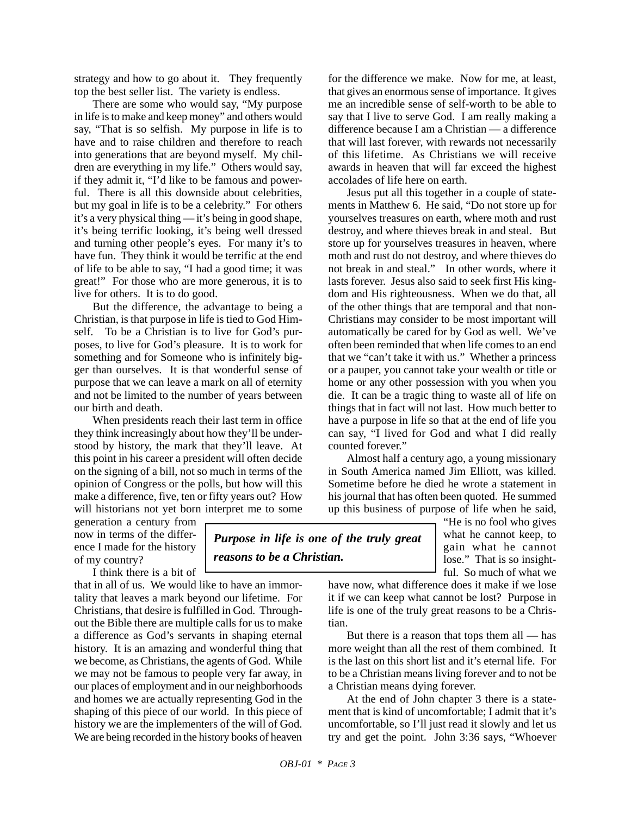strategy and how to go about it. They frequently top the best seller list. The variety is endless.

There are some who would say, "My purpose in life is to make and keep money" and others would say, "That is so selfish. My purpose in life is to have and to raise children and therefore to reach into generations that are beyond myself. My children are everything in my life." Others would say, if they admit it, "I'd like to be famous and powerful. There is all this downside about celebrities, but my goal in life is to be a celebrity." For others it's a very physical thing — it's being in good shape, it's being terrific looking, it's being well dressed and turning other people's eyes. For many it's to have fun. They think it would be terrific at the end of life to be able to say, "I had a good time; it was great!" For those who are more generous, it is to live for others. It is to do good.

But the difference, the advantage to being a Christian, is that purpose in life is tied to God Himself. To be a Christian is to live for God's purposes, to live for God's pleasure. It is to work for something and for Someone who is infinitely bigger than ourselves. It is that wonderful sense of purpose that we can leave a mark on all of eternity and not be limited to the number of years between our birth and death.

When presidents reach their last term in office they think increasingly about how they'll be understood by history, the mark that they'll leave. At this point in his career a president will often decide on the signing of a bill, not so much in terms of the opinion of Congress or the polls, but how will this make a difference, five, ten or fifty years out? How will historians not yet born interpret me to some

generation a century from now in terms of the difference I made for the history of my country?

I think there is a bit of

that in all of us. We would like to have an immortality that leaves a mark beyond our lifetime. For Christians, that desire is fulfilled in God. Throughout the Bible there are multiple calls for us to make a difference as God's servants in shaping eternal history. It is an amazing and wonderful thing that we become, as Christians, the agents of God. While we may not be famous to people very far away, in our places of employment and in our neighborhoods and homes we are actually representing God in the shaping of this piece of our world. In this piece of history we are the implementers of the will of God. We are being recorded in the history books of heaven

for the difference we make. Now for me, at least, that gives an enormous sense of importance. It gives me an incredible sense of self-worth to be able to say that I live to serve God. I am really making a difference because I am a Christian — a difference that will last forever, with rewards not necessarily of this lifetime. As Christians we will receive awards in heaven that will far exceed the highest accolades of life here on earth.

Jesus put all this together in a couple of statements in Matthew 6. He said, "Do not store up for yourselves treasures on earth, where moth and rust destroy, and where thieves break in and steal. But store up for yourselves treasures in heaven, where moth and rust do not destroy, and where thieves do not break in and steal." In other words, where it lasts forever. Jesus also said to seek first His kingdom and His righteousness. When we do that, all of the other things that are temporal and that non-Christians may consider to be most important will automatically be cared for by God as well. We've often been reminded that when life comes to an end that we "can't take it with us." Whether a princess or a pauper, you cannot take your wealth or title or home or any other possession with you when you die. It can be a tragic thing to waste all of life on things that in fact will not last. How much better to have a purpose in life so that at the end of life you can say, "I lived for God and what I did really counted forever."

Almost half a century ago, a young missionary in South America named Jim Elliott, was killed. Sometime before he died he wrote a statement in his journal that has often been quoted. He summed up this business of purpose of life when he said,

> "He is no fool who gives what he cannot keep, to gain what he cannot lose." That is so insightful. So much of what we

have now, what difference does it make if we lose it if we can keep what cannot be lost? Purpose in life is one of the truly great reasons to be a Christian.

But there is a reason that tops them all — has more weight than all the rest of them combined. It is the last on this short list and it's eternal life. For to be a Christian means living forever and to not be a Christian means dying forever.

At the end of John chapter 3 there is a statement that is kind of uncomfortable; I admit that it's uncomfortable, so I'll just read it slowly and let us try and get the point. John 3:36 says, "Whoever

*Purpose in life is one of the truly great*

*reasons to be a Christian.*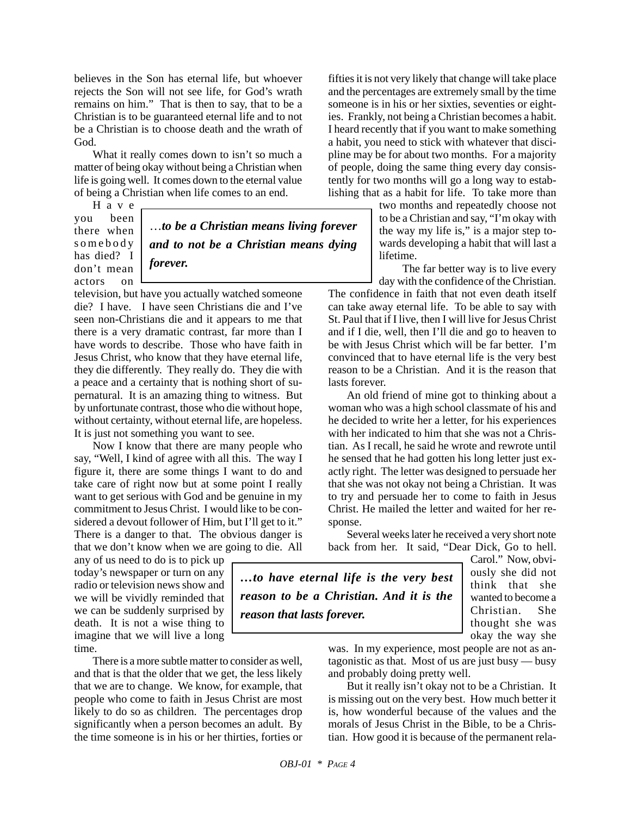believes in the Son has eternal life, but whoever rejects the Son will not see life, for God's wrath remains on him." That is then to say, that to be a Christian is to be guaranteed eternal life and to not be a Christian is to choose death and the wrath of God.

What it really comes down to isn't so much a matter of being okay without being a Christian when life is going well. It comes down to the eternal value of being a Christian when life comes to an end.

Have you been there when somebody has died? I don't mean actors on

…*to be a Christian means living forever and to not be a Christian means dying forever.*

television, but have you actually watched someone die? I have. I have seen Christians die and I've seen non-Christians die and it appears to me that there is a very dramatic contrast, far more than I have words to describe. Those who have faith in Jesus Christ, who know that they have eternal life, they die differently. They really do. They die with a peace and a certainty that is nothing short of supernatural. It is an amazing thing to witness. But by unfortunate contrast, those who die without hope, without certainty, without eternal life, are hopeless. It is just not something you want to see.

Now I know that there are many people who say, "Well, I kind of agree with all this. The way I figure it, there are some things I want to do and take care of right now but at some point I really want to get serious with God and be genuine in my commitment to Jesus Christ. I would like to be considered a devout follower of Him, but I'll get to it." There is a danger to that. The obvious danger is that we don't know when we are going to die. All

any of us need to do is to pick up today's newspaper or turn on any radio or television news show and we will be vividly reminded that we can be suddenly surprised by death. It is not a wise thing to imagine that we will live a long time.

There is a more subtle matter to consider as well, and that is that the older that we get, the less likely that we are to change. We know, for example, that people who come to faith in Jesus Christ are most likely to do so as children. The percentages drop significantly when a person becomes an adult. By the time someone is in his or her thirties, forties or

fifties it is not very likely that change will take place and the percentages are extremely small by the time someone is in his or her sixties, seventies or eighties. Frankly, not being a Christian becomes a habit. I heard recently that if you want to make something a habit, you need to stick with whatever that discipline may be for about two months. For a majority of people, doing the same thing every day consistently for two months will go a long way to establishing that as a habit for life. To take more than

> two months and repeatedly choose not to be a Christian and say, "I'm okay with the way my life is," is a major step towards developing a habit that will last a lifetime.

> The far better way is to live every day with the confidence of the Christian.

The confidence in faith that not even death itself can take away eternal life. To be able to say with St. Paul that if I live, then I will live for Jesus Christ and if I die, well, then I'll die and go to heaven to be with Jesus Christ which will be far better. I'm convinced that to have eternal life is the very best reason to be a Christian. And it is the reason that lasts forever.

An old friend of mine got to thinking about a woman who was a high school classmate of his and he decided to write her a letter, for his experiences with her indicated to him that she was not a Christian. As I recall, he said he wrote and rewrote until he sensed that he had gotten his long letter just exactly right. The letter was designed to persuade her that she was not okay not being a Christian. It was to try and persuade her to come to faith in Jesus Christ. He mailed the letter and waited for her response.

Several weeks later he received a very short note back from her. It said, "Dear Dick, Go to hell.

*…to have eternal life is the very best reason to be a Christian. And it is the reason that lasts forever.*

Carol." Now, obviously she did not think that she wanted to become a Christian. She thought she was okay the way she

was. In my experience, most people are not as antagonistic as that. Most of us are just busy — busy and probably doing pretty well.

But it really isn't okay not to be a Christian. It is missing out on the very best. How much better it is, how wonderful because of the values and the morals of Jesus Christ in the Bible, to be a Christian. How good it is because of the permanent rela-